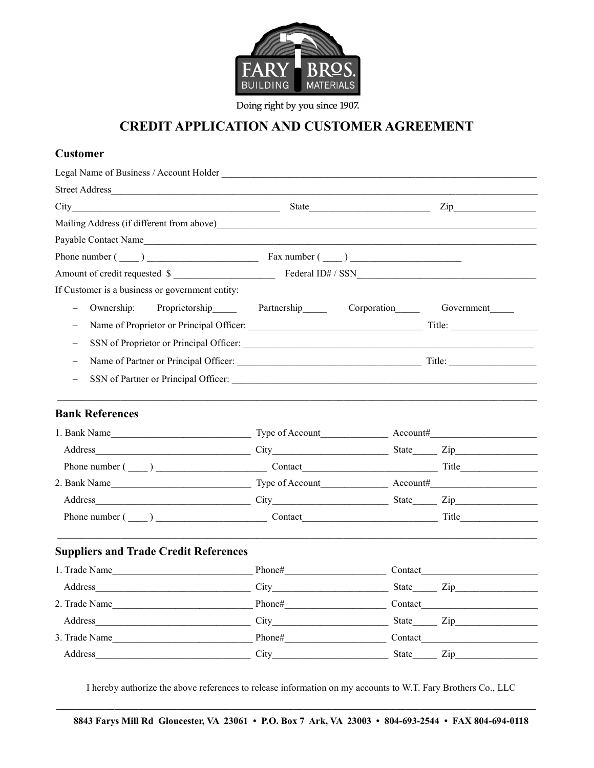

Doing right by you since 1907.

## CREDIT APPLICATION AND CUSTOMER AGREEMENT

## Customer

| City<br><u> 1989 - Johann Barbara, martin amerikan basar dan basa dalam basa dalam basa dalam basa dalam basa dalam basa</u> |                                                                                                                                                                                                                                                                                                                                                                                                                                                                                                                               | State                                  | $\mathsf{Zip}\_$ |  |
|------------------------------------------------------------------------------------------------------------------------------|-------------------------------------------------------------------------------------------------------------------------------------------------------------------------------------------------------------------------------------------------------------------------------------------------------------------------------------------------------------------------------------------------------------------------------------------------------------------------------------------------------------------------------|----------------------------------------|------------------|--|
|                                                                                                                              |                                                                                                                                                                                                                                                                                                                                                                                                                                                                                                                               |                                        |                  |  |
| Payable Contact Name                                                                                                         |                                                                                                                                                                                                                                                                                                                                                                                                                                                                                                                               |                                        |                  |  |
|                                                                                                                              |                                                                                                                                                                                                                                                                                                                                                                                                                                                                                                                               |                                        |                  |  |
|                                                                                                                              |                                                                                                                                                                                                                                                                                                                                                                                                                                                                                                                               |                                        |                  |  |
| If Customer is a business or government entity:                                                                              |                                                                                                                                                                                                                                                                                                                                                                                                                                                                                                                               |                                        |                  |  |
| Ownership:<br>$\qquad \qquad -$                                                                                              |                                                                                                                                                                                                                                                                                                                                                                                                                                                                                                                               | Proprietorship Partnership Corporation | Government       |  |
|                                                                                                                              |                                                                                                                                                                                                                                                                                                                                                                                                                                                                                                                               |                                        |                  |  |
| $\equiv$                                                                                                                     |                                                                                                                                                                                                                                                                                                                                                                                                                                                                                                                               |                                        |                  |  |
| $\qquad \qquad -$                                                                                                            |                                                                                                                                                                                                                                                                                                                                                                                                                                                                                                                               |                                        |                  |  |
| $\overline{\phantom{0}}$                                                                                                     |                                                                                                                                                                                                                                                                                                                                                                                                                                                                                                                               |                                        |                  |  |
|                                                                                                                              |                                                                                                                                                                                                                                                                                                                                                                                                                                                                                                                               |                                        |                  |  |
| <b>Bank References</b>                                                                                                       |                                                                                                                                                                                                                                                                                                                                                                                                                                                                                                                               |                                        |                  |  |
|                                                                                                                              |                                                                                                                                                                                                                                                                                                                                                                                                                                                                                                                               |                                        |                  |  |
| Address<br>City City State Zip                                                                                               |                                                                                                                                                                                                                                                                                                                                                                                                                                                                                                                               |                                        |                  |  |
|                                                                                                                              |                                                                                                                                                                                                                                                                                                                                                                                                                                                                                                                               |                                        |                  |  |
|                                                                                                                              |                                                                                                                                                                                                                                                                                                                                                                                                                                                                                                                               |                                        |                  |  |
| $City$ State $Zip$<br>Address                                                                                                |                                                                                                                                                                                                                                                                                                                                                                                                                                                                                                                               |                                        |                  |  |
|                                                                                                                              |                                                                                                                                                                                                                                                                                                                                                                                                                                                                                                                               |                                        |                  |  |
|                                                                                                                              |                                                                                                                                                                                                                                                                                                                                                                                                                                                                                                                               |                                        |                  |  |
| <b>Suppliers and Trade Credit References</b>                                                                                 |                                                                                                                                                                                                                                                                                                                                                                                                                                                                                                                               |                                        |                  |  |
| 1. Trade Name                                                                                                                |                                                                                                                                                                                                                                                                                                                                                                                                                                                                                                                               |                                        | Contact          |  |
|                                                                                                                              |                                                                                                                                                                                                                                                                                                                                                                                                                                                                                                                               |                                        |                  |  |
| 2. Trade Name                                                                                                                | $\boxed{{\rm Phone}\#_{\textcolor{red}{\sum_1}}\qquad \qquad {\rm Phone}\#_{\textcolor{red}{\sum_2}}\qquad \qquad {\rm Phone}\#_{\textcolor{red}{\sum_3}}\qquad \qquad {\rm Phone}\#_{\textcolor{red}{\sum_4}}\qquad \qquad {\rm Phase}\#_{\textcolor{red}{\sum_5}}\qquad \qquad {\rm Those}\#_{\textcolor{red}{\sum_6}}\qquad \qquad {\rm Those}\#_{\textcolor{red}{\sum_6}}\qquad \qquad {\rm Those}\#_{\textcolor{red}{\sum_6}}\qquad {\rm Those}\#_{\textcolor{red}{\sum_6}}\qquad {\rm Those}\#_{\textcolor{red}{\sum_6$ |                                        | Contact          |  |
|                                                                                                                              |                                                                                                                                                                                                                                                                                                                                                                                                                                                                                                                               |                                        |                  |  |
| 3. Trade Name                                                                                                                |                                                                                                                                                                                                                                                                                                                                                                                                                                                                                                                               |                                        |                  |  |
| Address                                                                                                                      |                                                                                                                                                                                                                                                                                                                                                                                                                                                                                                                               |                                        | State Zip        |  |

I hereby authorize the above references to release information on my accounts to W.T. Fary Brothers Co., LLC \_\_\_\_\_\_\_\_\_\_\_\_\_\_\_\_\_\_\_\_\_\_\_\_\_\_\_\_\_\_\_\_\_\_\_\_\_\_\_\_\_\_\_\_\_\_\_\_\_\_\_\_\_\_\_\_\_\_\_\_\_\_\_\_\_\_\_\_\_\_\_\_\_\_\_\_\_\_\_\_\_\_\_\_\_\_\_\_\_\_\_\_\_\_\_\_\_\_\_